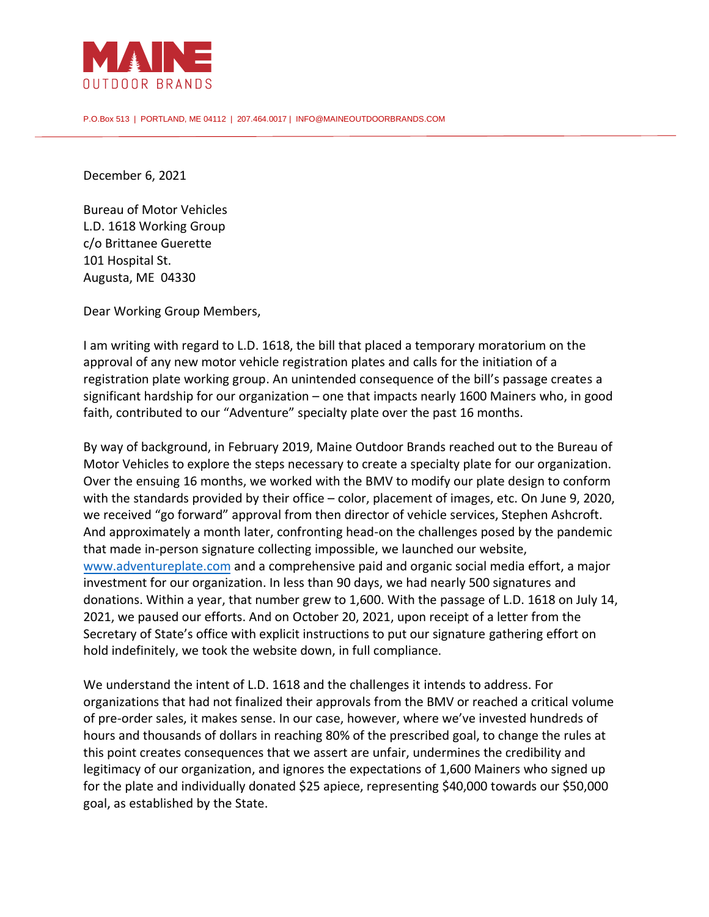

P.O.Box 513 | PORTLAND, ME 04112 | 207.464.0017 | INFO@MAINEOUTDOORBRANDS.COM

December 6, 2021

Bureau of Motor Vehicles L.D. 1618 Working Group c/o Brittanee Guerette 101 Hospital St. Augusta, ME 04330

Dear Working Group Members,

I am writing with regard to L.D. 1618, the bill that placed a temporary moratorium on the approval of any new motor vehicle registration plates and calls for the initiation of a registration plate working group. An unintended consequence of the bill's passage creates a significant hardship for our organization – one that impacts nearly 1600 Mainers who, in good faith, contributed to our "Adventure" specialty plate over the past 16 months.

By way of background, in February 2019, Maine Outdoor Brands reached out to the Bureau of Motor Vehicles to explore the steps necessary to create a specialty plate for our organization. Over the ensuing 16 months, we worked with the BMV to modify our plate design to conform with the standards provided by their office – color, placement of images, etc. On June 9, 2020, we received "go forward" approval from then director of vehicle services, Stephen Ashcroft. And approximately a month later, confronting head-on the challenges posed by the pandemic that made in-person signature collecting impossible, we launched our website, [www.adventureplate.com](http://www.adventureplate.com/) and a comprehensive paid and organic social media effort, a major investment for our organization. In less than 90 days, we had nearly 500 signatures and donations. Within a year, that number grew to 1,600. With the passage of L.D. 1618 on July 14, 2021, we paused our efforts. And on October 20, 2021, upon receipt of a letter from the Secretary of State's office with explicit instructions to put our signature gathering effort on hold indefinitely, we took the website down, in full compliance.

We understand the intent of L.D. 1618 and the challenges it intends to address. For organizations that had not finalized their approvals from the BMV or reached a critical volume of pre-order sales, it makes sense. In our case, however, where we've invested hundreds of hours and thousands of dollars in reaching 80% of the prescribed goal, to change the rules at this point creates consequences that we assert are unfair, undermines the credibility and legitimacy of our organization, and ignores the expectations of 1,600 Mainers who signed up for the plate and individually donated \$25 apiece, representing \$40,000 towards our \$50,000 goal, as established by the State.